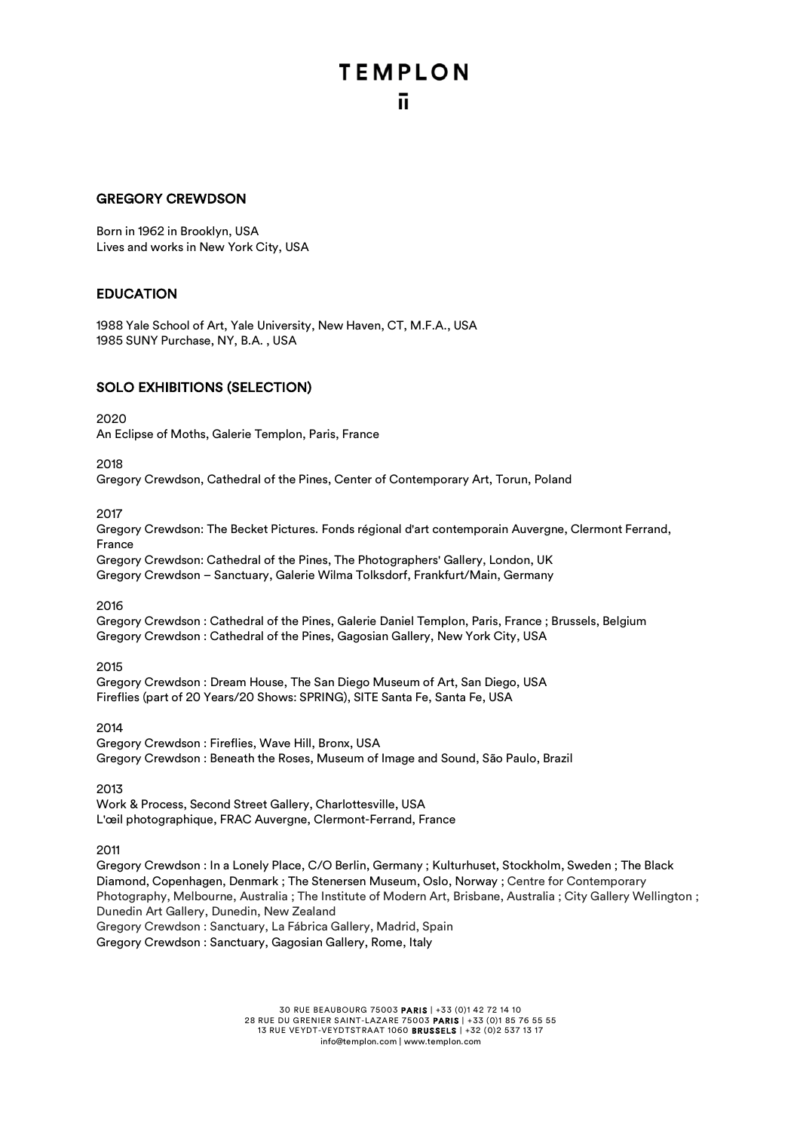### GREGORY CREWDSON

Born in 1962 in Brooklyn, USA Lives and works in New York City, USA

### EDUCATION

1988 Yale School of Art, Yale University, New Haven, CT, M.F.A., USA 1985 SUNY Purchase, NY, B.A. , USA

### SOLO EXHIBITIONS (SELECTION)

#### 2020

An Eclipse of Moths, Galerie Templon, Paris, France

2018

Gregory Crewdson, Cathedral of the Pines, Center of Contemporary Art, Torun, Poland

2017

Gregory Crewdson: The Becket Pictures. Fonds régional d'art contemporain Auvergne, Clermont Ferrand, France

Gregory Crewdson: Cathedral of the Pines, The Photographers' Gallery, London, UK Gregory Crewdson – Sanctuary, Galerie Wilma Tolksdorf, Frankfurt/Main, Germany

2016

Gregory Crewdson : Cathedral of the Pines, Galerie Daniel Templon, Paris, France ; Brussels, Belgium Gregory Crewdson : Cathedral of the Pines, Gagosian Gallery, New York City, USA

### 2015

Gregory Crewdson : Dream House, The San Diego Museum of Art, San Diego, USA Fireflies (part of 20 Years/20 Shows: SPRING), SITE Santa Fe, Santa Fe, USA

2014

Gregory Crewdson : Fireflies, Wave Hill, Bronx, USA Gregory Crewdson : Beneath the Roses, Museum of Image and Sound, São Paulo, Brazil

2013

Work & Process, Second Street Gallery, Charlottesville, USA L'œil photographique, FRAC Auvergne, Clermont-Ferrand, France

2011

Gregory Crewdson : In a Lonely Place, C/O Berlin, Germany ; Kulturhuset, Stockholm, Sweden ; The Black Diamond, Copenhagen, Denmark ; The Stenersen Museum, Oslo, Norway ; Centre for Contemporary Photography, Melbourne, Australia ; The Institute of Modern Art, Brisbane, Australia ; City Gallery Wellington ; Dunedin Art Gallery, Dunedin, New Zealand Gregory Crewdson : Sanctuary, La Fábrica Gallery, Madrid, Spain

Gregory Crewdson : Sanctuary, Gagosian Gallery, Rome, Italy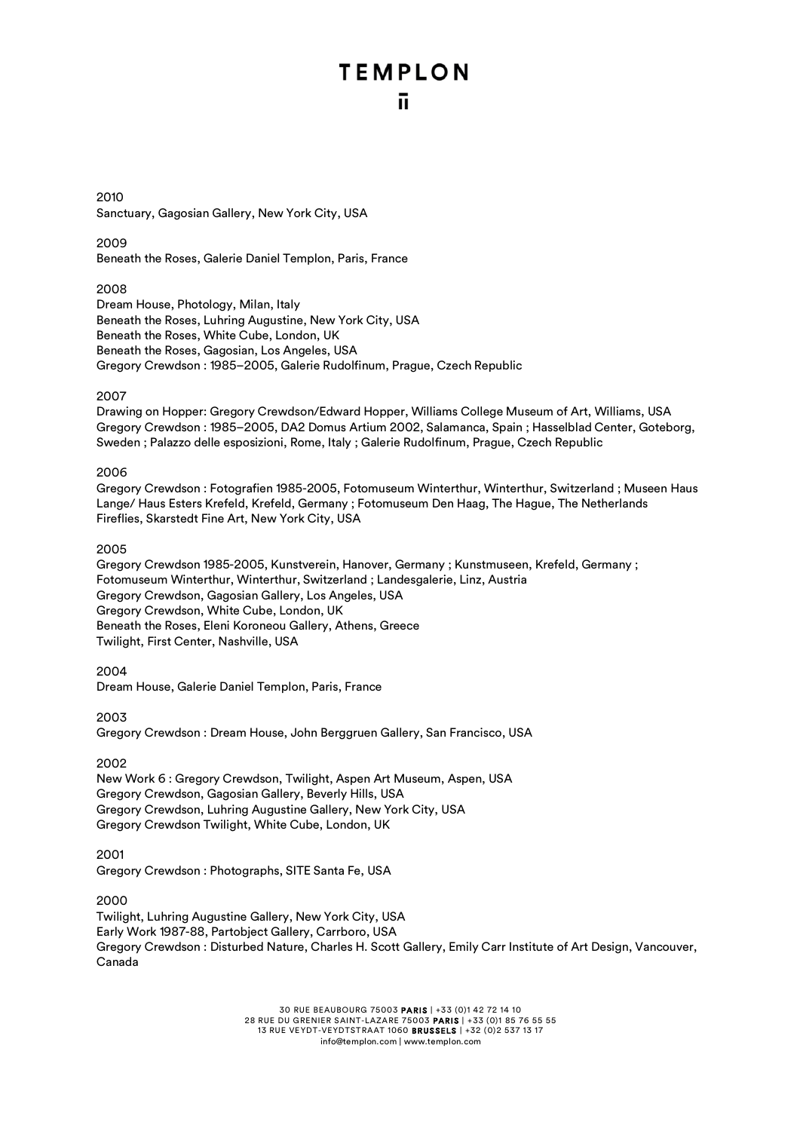2010 Sanctuary, Gagosian Gallery, New York City, USA

2009

Beneath the Roses, Galerie Daniel Templon, Paris, France

### 2008

Dream House, Photology, Milan, Italy Beneath the Roses, Luhring Augustine, New York City, USA Beneath the Roses, White Cube, London, UK Beneath the Roses, Gagosian, Los Angeles, USA Gregory Crewdson : 1985–2005, Galerie Rudolfinum, Prague, Czech Republic

### 2007

Drawing on Hopper: Gregory Crewdson/Edward Hopper, Williams College Museum of Art, Williams, USA Gregory Crewdson : 1985–2005, DA2 Domus Artium 2002, Salamanca, Spain ; Hasselblad Center, Goteborg, Sweden ; Palazzo delle esposizioni, Rome, Italy ; Galerie Rudolfinum, Prague, Czech Republic

### 2006

Gregory Crewdson : Fotografien 1985-2005, Fotomuseum Winterthur, Winterthur, Switzerland ; Museen Haus Lange/ Haus Esters Krefeld, Krefeld, Germany ; Fotomuseum Den Haag, The Hague, The Netherlands Fireflies, Skarstedt Fine Art, New York City, USA

### 2005

Gregory Crewdson 1985-2005, Kunstverein, Hanover, Germany ; Kunstmuseen, Krefeld, Germany ; Fotomuseum Winterthur, Winterthur, Switzerland ; Landesgalerie, Linz, Austria Gregory Crewdson, Gagosian Gallery, Los Angeles, USA Gregory Crewdson, White Cube, London, UK Beneath the Roses, Eleni Koroneou Gallery, Athens, Greece Twilight, First Center, Nashville, USA

2004 Dream House, Galerie Daniel Templon, Paris, France

2003 Gregory Crewdson : Dream House, John Berggruen Gallery, San Francisco, USA

2002

New Work 6 : Gregory Crewdson, Twilight, Aspen Art Museum, Aspen, USA Gregory Crewdson, Gagosian Gallery, Beverly Hills, USA Gregory Crewdson, Luhring Augustine Gallery, New York City, USA Gregory Crewdson Twilight, White Cube, London, UK

### 2001

Gregory Crewdson : Photographs, SITE Santa Fe, USA

2000

Twilight, Luhring Augustine Gallery, New York City, USA Early Work 1987-88, Partobject Gallery, Carrboro, USA Gregory Crewdson : Disturbed Nature, Charles H. Scott Gallery, Emily Carr Institute of Art Design, Vancouver, Canada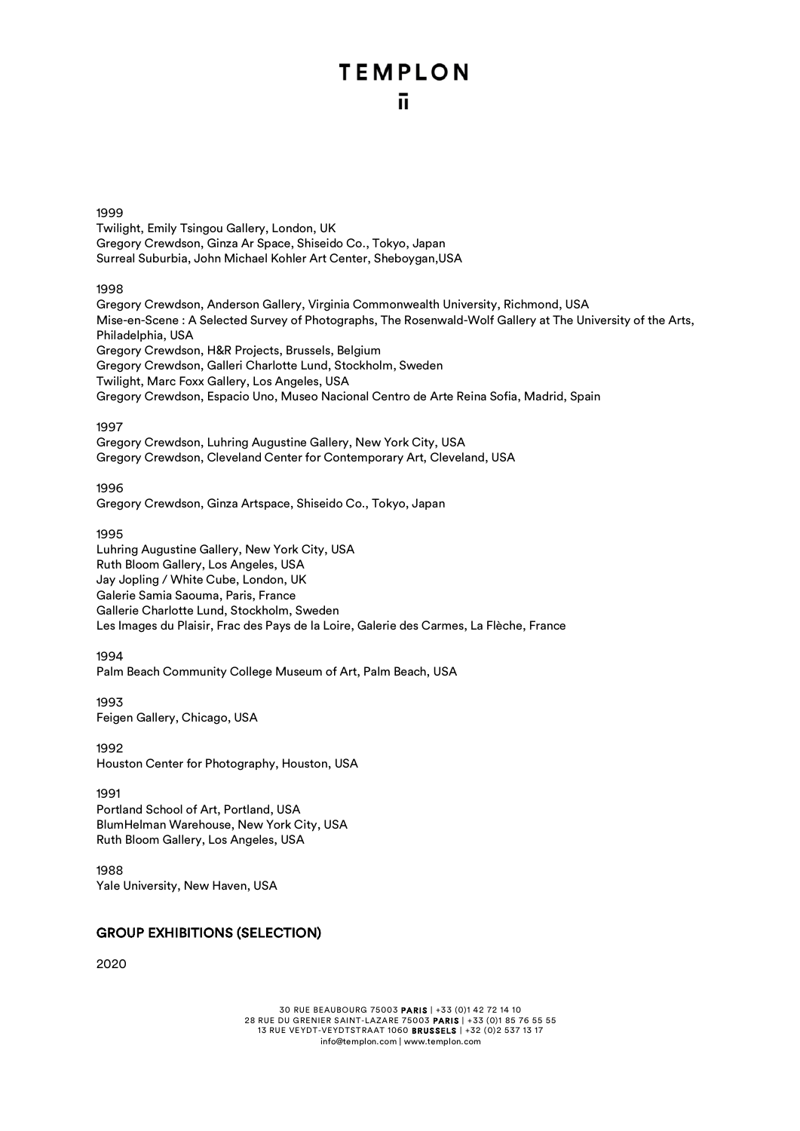### 1999

Twilight, Emily Tsingou Gallery, London, UK Gregory Crewdson, Ginza Ar Space, Shiseido Co., Tokyo, Japan Surreal Suburbia, John Michael Kohler Art Center, Sheboygan,USA

### 1998

Gregory Crewdson, Anderson Gallery, Virginia Commonwealth University, Richmond, USA Mise-en-Scene : A Selected Survey of Photographs, The Rosenwald-Wolf Gallery at The University of the Arts, Philadelphia, USA Gregory Crewdson, H&R Projects, Brussels, Belgium Gregory Crewdson, Galleri Charlotte Lund, Stockholm, Sweden Twilight, Marc Foxx Gallery, Los Angeles, USA Gregory Crewdson, Espacio Uno, Museo Nacional Centro de Arte Reina Sofia, Madrid, Spain

### 1997

Gregory Crewdson, Luhring Augustine Gallery, New York City, USA Gregory Crewdson, Cleveland Center for Contemporary Art, Cleveland, USA

1996

Gregory Crewdson, Ginza Artspace, Shiseido Co., Tokyo, Japan

### 1995

Luhring Augustine Gallery, New York City, USA Ruth Bloom Gallery, Los Angeles, USA Jay Jopling / White Cube, London, UK Galerie Samia Saouma, Paris, France Gallerie Charlotte Lund, Stockholm, Sweden Les Images du Plaisir, Frac des Pays de la Loire, Galerie des Carmes, La Flèche, France

### 1994

Palm Beach Community College Museum of Art, Palm Beach, USA

1993 Feigen Gallery, Chicago, USA

1992 Houston Center for Photography, Houston, USA

1991

Portland School of Art, Portland, USA BlumHelman Warehouse, New York City, USA Ruth Bloom Gallery, Los Angeles, USA

1988 Yale University, New Haven, USA

### GROUP EXHIBITIONS (SELECTION)

2020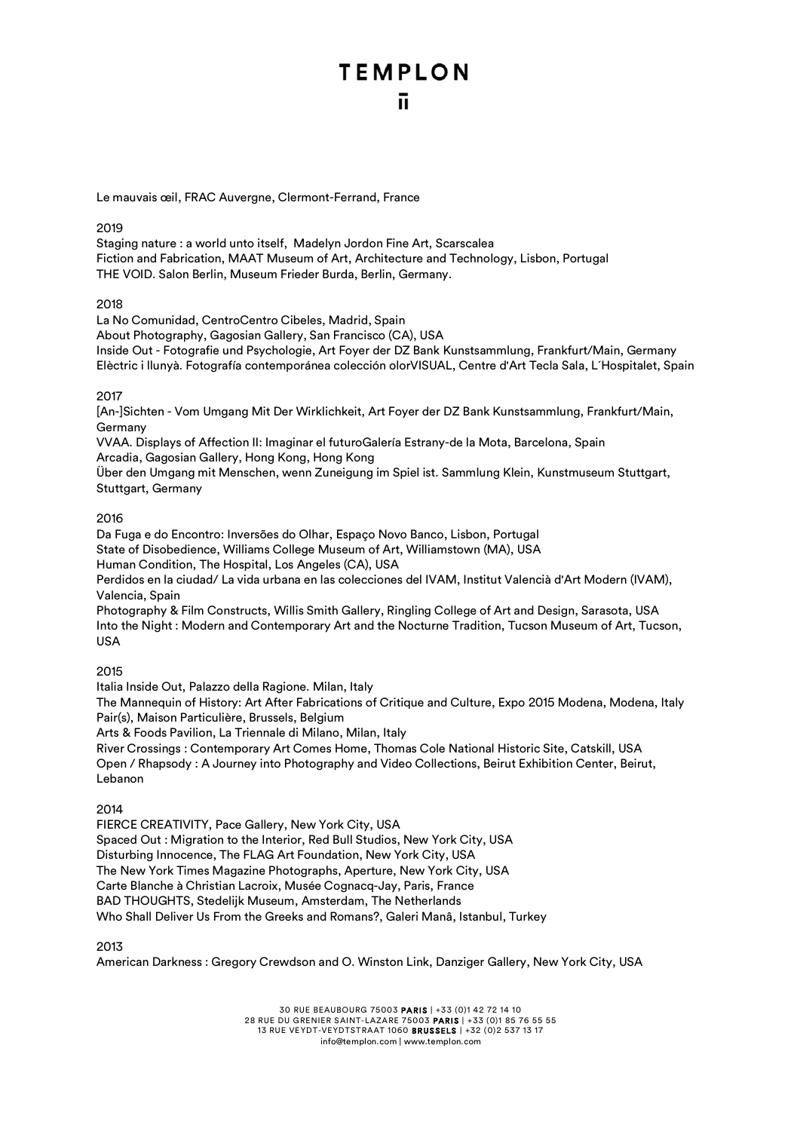### ū.

Le mauvais œil, FRAC Auvergne, Clermont-Ferrand, France

### 2019

Staging nature : a world unto itself, Madelyn Jordon Fine Art, Scarscalea Fiction and Fabrication, MAAT Museum of Art, Architecture and Technology, Lisbon, Portugal THE VOID. Salon Berlin, Museum Frieder Burda, Berlin, Germany.

### 2018

La No Comunidad, CentroCentro Cibeles, Madrid, Spain

About Photography, Gagosian Gallery, San Francisco (CA), USA

Inside Out - Fotografie und Psychologie, Art Foyer der DZ Bank Kunstsammlung, Frankfurt/Main, Germany Elèctric i llunyà. Fotografía contemporánea colección olorVISUAL, Centre d'Art Tecla Sala, L´Hospitalet, Spain

### 2017

[An-]Sichten - Vom Umgang Mit Der Wirklichkeit, Art Foyer der DZ Bank Kunstsammlung, Frankfurt/Main, Germany

VVAA. Displays of Affection II: Imaginar el futuroGalería Estrany-de la Mota, Barcelona, Spain Arcadia, Gagosian Gallery, Hong Kong, Hong Kong

Über den Umgang mit Menschen, wenn Zuneigung im Spiel ist. Sammlung Klein, Kunstmuseum Stuttgart, Stuttgart, Germany

### 2016

Da Fuga e do Encontro: Inversões do Olhar, Espaço Novo Banco, Lisbon, Portugal State of Disobedience, Williams College Museum of Art, Williamstown (MA), USA Human Condition, The Hospital, Los Angeles (CA), USA

Perdidos en la ciudad/ La vida urbana en las colecciones del IVAM, Institut Valencià d'Art Modern (IVAM), Valencia, Spain

Photography & Film Constructs, Willis Smith Gallery, Ringling College of Art and Design, Sarasota, USA Into the Night : Modern and Contemporary Art and the Nocturne Tradition, Tucson Museum of Art, Tucson, USA

### 2015

Italia Inside Out, Palazzo della Ragione. Milan, Italy

The Mannequin of History: Art After Fabrications of Critique and Culture, Expo 2015 Modena, Modena, Italy Pair(s), Maison Particulière, Brussels, Belgium

Arts & Foods Pavilion, La Triennale di Milano, Milan, Italy

River Crossings : Contemporary Art Comes Home, Thomas Cole National Historic Site, Catskill, USA Open / Rhapsody : A Journey into Photography and Video Collections, Beirut Exhibition Center, Beirut, Lebanon

### 2014

FIERCE CREATIVITY, Pace Gallery, New York City, USA Spaced Out : Migration to the Interior, Red Bull Studios, New York City, USA Disturbing Innocence, The FLAG Art Foundation, New York City, USA The New York Times Magazine Photographs, Aperture, New York City, USA Carte Blanche à Christian Lacroix, Musée Cognacq-Jay, Paris, France BAD THOUGHTS, Stedelijk Museum, Amsterdam, The Netherlands Who Shall Deliver Us From the Greeks and Romans?, Galeri Manâ, Istanbul, Turkey

2013

American Darkness : Gregory Crewdson and O. Winston Link, Danziger Gallery, New York City, USA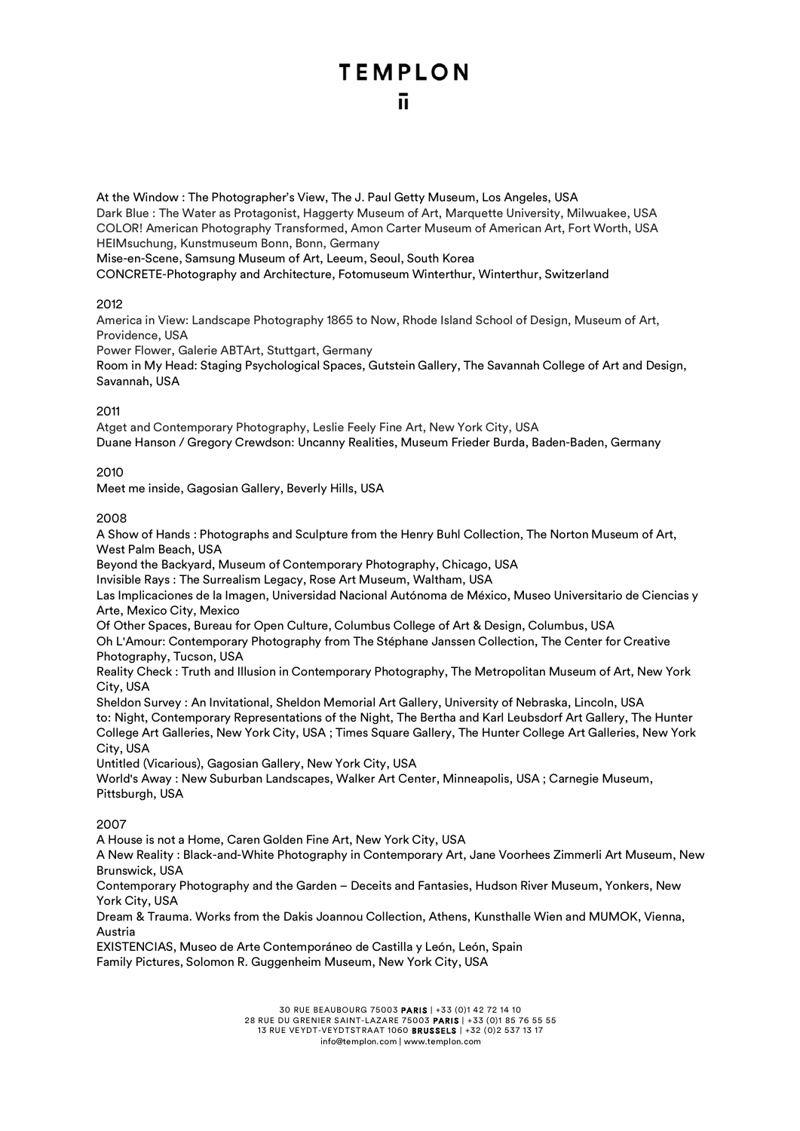At the Window : The Photographer's View, The J. Paul Getty Museum, Los Angeles, USA Dark Blue : The Water as Protagonist, Haggerty Museum of Art, Marquette University, Milwuakee, USA COLOR! American Photography Transformed, Amon Carter Museum of American Art, Fort Worth, USA HEIMsuchung, Kunstmuseum Bonn, Bonn, Germany

Mise-en-Scene, Samsung Museum of Art, Leeum, Seoul, South Korea CONCRETE-Photography and Architecture, Fotomuseum Winterthur, Winterthur, Switzerland

2012

America in View: Landscape Photography 1865 to Now, Rhode Island School of Design, Museum of Art, Providence, USA

Power Flower, Galerie ABTArt, Stuttgart, Germany

Room in My Head: Staging Psychological Spaces, Gutstein Gallery, The Savannah College of Art and Design, Savannah, USA

### 2011

Atget and Contemporary Photography, Leslie Feely Fine Art, New York City, USA Duane Hanson / Gregory Crewdson: Uncanny Realities, Museum Frieder Burda, Baden-Baden, Germany

### 2010

Meet me inside, Gagosian Gallery, Beverly Hills, USA

### 2008

A Show of Hands : Photographs and Sculpture from the Henry Buhl Collection, The Norton Museum of Art, West Palm Beach, USA

Beyond the Backyard, Museum of Contemporary Photography, Chicago, USA

Invisible Rays : The Surrealism Legacy, Rose Art Museum, Waltham, USA

Las Implicaciones de la Imagen, Universidad Nacional Autónoma de México, Museo Universitario de Ciencias y Arte, Mexico City, Mexico

Of Other Spaces, Bureau for Open Culture, Columbus College of Art & Design, Columbus, USA

Oh L'Amour: Contemporary Photography from The Stéphane Janssen Collection, The Center for Creative Photography, Tucson, USA

Reality Check : Truth and Illusion in Contemporary Photography, The Metropolitan Museum of Art, New York City, USA

Sheldon Survey : An Invitational, Sheldon Memorial Art Gallery, University of Nebraska, Lincoln, USA to: Night, Contemporary Representations of the Night, The Bertha and Karl Leubsdorf Art Gallery, The Hunter College Art Galleries, New York City, USA ; Times Square Gallery, The Hunter College Art Galleries, New York City, USA

Untitled (Vicarious), Gagosian Gallery, New York City, USA

World's Away : New Suburban Landscapes, Walker Art Center, Minneapolis, USA ; Carnegie Museum, Pittsburgh, USA

### 2007

A House is not a Home, Caren Golden Fine Art, New York City, USA

A New Reality : Black-and-White Photography in Contemporary Art, Jane Voorhees Zimmerli Art Museum, New Brunswick, USA

Contemporary Photography and the Garden – Deceits and Fantasies, Hudson River Museum, Yonkers, New York City, USA

Dream & Trauma. Works from the Dakis Joannou Collection, Athens, Kunsthalle Wien and MUMOK, Vienna, Austria

EXISTENCIAS, Museo de Arte Contemporáneo de Castilla y León, León, Spain Family Pictures, Solomon R. Guggenheim Museum, New York City, USA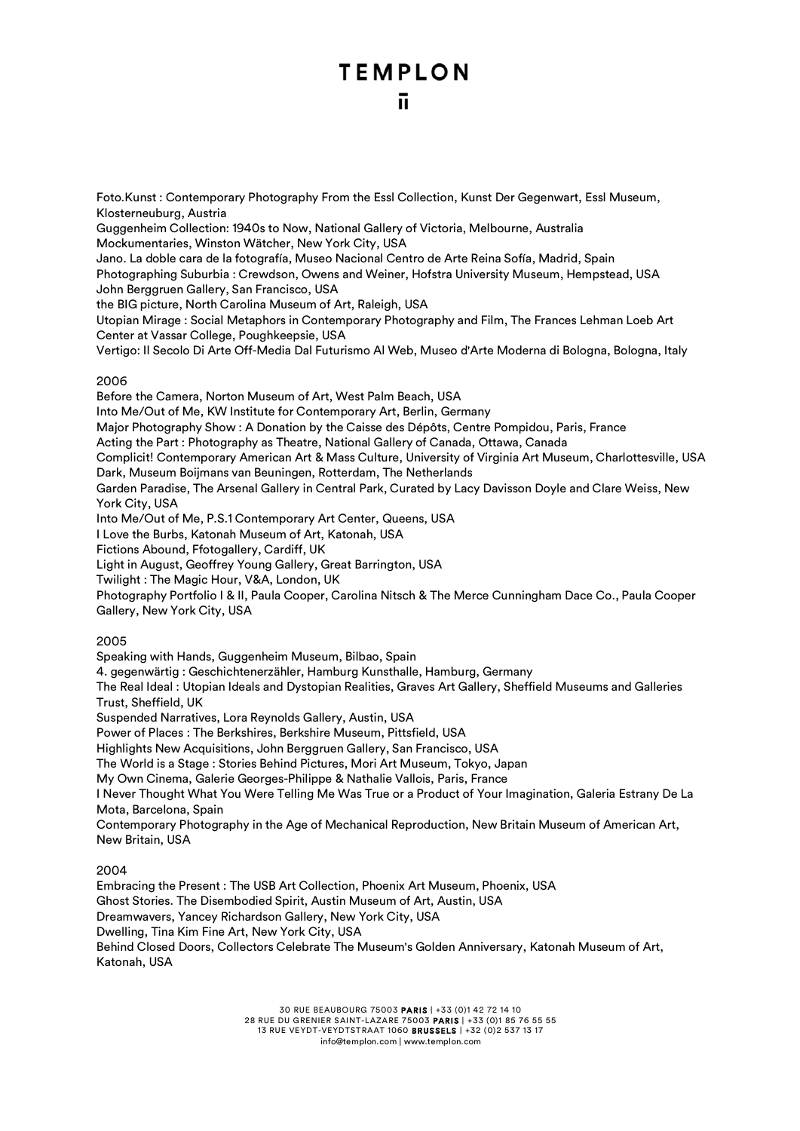Foto.Kunst : Contemporary Photography From the Essl Collection, Kunst Der Gegenwart, Essl Museum, Klosterneuburg, Austria Guggenheim Collection: 1940s to Now, National Gallery of Victoria, Melbourne, Australia Mockumentaries, Winston Wätcher, New York City, USA Jano. La doble cara de la fotografía, Museo Nacional Centro de Arte Reina Sofía, Madrid, Spain Photographing Suburbia : Crewdson, Owens and Weiner, Hofstra University Museum, Hempstead, USA John Berggruen Gallery, San Francisco, USA the BIG picture, North Carolina Museum of Art, Raleigh, USA Utopian Mirage : Social Metaphors in Contemporary Photography and Film, The Frances Lehman Loeb Art Center at Vassar College, Poughkeepsie, USA Vertigo: Il Secolo Di Arte Off-Media Dal Futurismo Al Web, Museo d'Arte Moderna di Bologna, Bologna, Italy 2006 Before the Camera, Norton Museum of Art, West Palm Beach, USA Into Me/Out of Me, KW Institute for Contemporary Art, Berlin, Germany Major Photography Show : A Donation by the Caisse des Dépôts, Centre Pompidou, Paris, France

Acting the Part : Photography as Theatre, National Gallery of Canada, Ottawa, Canada

Complicit! Contemporary American Art & Mass Culture, University of Virginia Art Museum, Charlottesville, USA Dark, Museum Boijmans van Beuningen, Rotterdam, The Netherlands

Garden Paradise, The Arsenal Gallery in Central Park, Curated by Lacy Davisson Doyle and Clare Weiss, New York City, USA

Into Me/Out of Me, P.S.1 Contemporary Art Center, Queens, USA

I Love the Burbs, Katonah Museum of Art, Katonah, USA

Fictions Abound, Ffotogallery, Cardiff, UK

Light in August, Geoffrey Young Gallery, Great Barrington, USA

Twilight : The Magic Hour, V&A, London, UK

Photography Portfolio I & II, Paula Cooper, Carolina Nitsch & The Merce Cunningham Dace Co., Paula Cooper Gallery, New York City, USA

### 2005

Speaking with Hands, Guggenheim Museum, Bilbao, Spain

4. gegenwärtig : Geschichtenerzähler, Hamburg Kunsthalle, Hamburg, Germany

The Real Ideal : Utopian Ideals and Dystopian Realities, Graves Art Gallery, Sheffield Museums and Galleries Trust, Sheffield, UK

Suspended Narratives, Lora Reynolds Gallery, Austin, USA

Power of Places : The Berkshires, Berkshire Museum, Pittsfield, USA

Highlights New Acquisitions, John Berggruen Gallery, San Francisco, USA

The World is a Stage : Stories Behind Pictures, Mori Art Museum, Tokyo, Japan

My Own Cinema, Galerie Georges-Philippe & Nathalie Vallois, Paris, France

I Never Thought What You Were Telling Me Was True or a Product of Your Imagination, Galeria Estrany De La Mota, Barcelona, Spain

Contemporary Photography in the Age of Mechanical Reproduction, New Britain Museum of American Art, New Britain, USA

#### 2004

Embracing the Present : The USB Art Collection, Phoenix Art Museum, Phoenix, USA Ghost Stories. The Disembodied Spirit, Austin Museum of Art, Austin, USA Dreamwavers, Yancey Richardson Gallery, New York City, USA Dwelling, Tina Kim Fine Art, New York City, USA Behind Closed Doors, Collectors Celebrate The Museum's Golden Anniversary, Katonah Museum of Art, Katonah, USA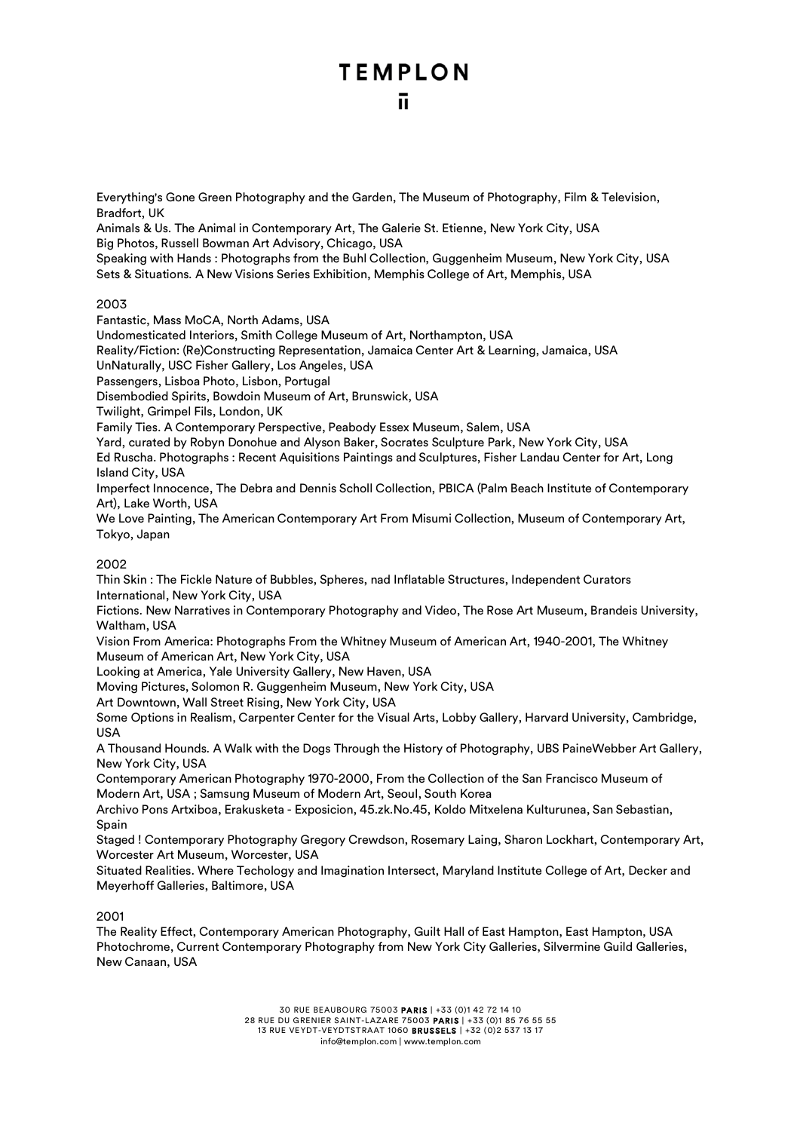Everything's Gone Green Photography and the Garden, The Museum of Photography, Film & Television, Bradfort, UK

Animals & Us. The Animal in Contemporary Art, The Galerie St. Etienne, New York City, USA Big Photos, Russell Bowman Art Advisory, Chicago, USA

Speaking with Hands : Photographs from the Buhl Collection, Guggenheim Museum, New York City, USA Sets & Situations. A New Visions Series Exhibition, Memphis College of Art, Memphis, USA

2003

Fantastic, Mass MoCA, North Adams, USA

Undomesticated Interiors, Smith College Museum of Art, Northampton, USA

Reality/Fiction: (Re)Constructing Representation, Jamaica Center Art & Learning, Jamaica, USA

UnNaturally, USC Fisher Gallery, Los Angeles, USA

Passengers, Lisboa Photo, Lisbon, Portugal

Disembodied Spirits, Bowdoin Museum of Art, Brunswick, USA

Twilight, Grimpel Fils, London, UK

Family Ties. A Contemporary Perspective, Peabody Essex Museum, Salem, USA

Yard, curated by Robyn Donohue and Alyson Baker, Socrates Sculpture Park, New York City, USA Ed Ruscha. Photographs : Recent Aquisitions Paintings and Sculptures, Fisher Landau Center for Art, Long Island City, USA

Imperfect Innocence, The Debra and Dennis Scholl Collection, PBICA (Palm Beach Institute of Contemporary Art), Lake Worth, USA

We Love Painting, The American Contemporary Art From Misumi Collection, Museum of Contemporary Art, Tokyo, Japan

2002

Thin Skin : The Fickle Nature of Bubbles, Spheres, nad Inflatable Structures, Independent Curators International, New York City, USA

Fictions. New Narratives in Contemporary Photography and Video, The Rose Art Museum, Brandeis University, Waltham, USA

Vision From America: Photographs From the Whitney Museum of American Art, 1940-2001, The Whitney Museum of American Art, New York City, USA

Looking at America, Yale University Gallery, New Haven, USA

Moving Pictures, Solomon R. Guggenheim Museum, New York City, USA

Art Downtown, Wall Street Rising, New York City, USA

Some Options in Realism, Carpenter Center for the Visual Arts, Lobby Gallery, Harvard University, Cambridge, USA

A Thousand Hounds. A Walk with the Dogs Through the History of Photography, UBS PaineWebber Art Gallery, New York City, USA

Contemporary American Photography 1970-2000, From the Collection of the San Francisco Museum of Modern Art, USA ; Samsung Museum of Modern Art, Seoul, South Korea

Archivo Pons Artxiboa, Erakusketa - Exposicion, 45.zk.No.45, Koldo Mitxelena Kulturunea, San Sebastian, Spain

Staged ! Contemporary Photography Gregory Crewdson, Rosemary Laing, Sharon Lockhart, Contemporary Art, Worcester Art Museum, Worcester, USA

Situated Realities. Where Techology and Imagination Intersect, Maryland Institute College of Art, Decker and Meyerhoff Galleries, Baltimore, USA

2001

The Reality Effect, Contemporary American Photography, Guilt Hall of East Hampton, East Hampton, USA Photochrome, Current Contemporary Photography from New York City Galleries, Silvermine Guild Galleries, New Canaan, USA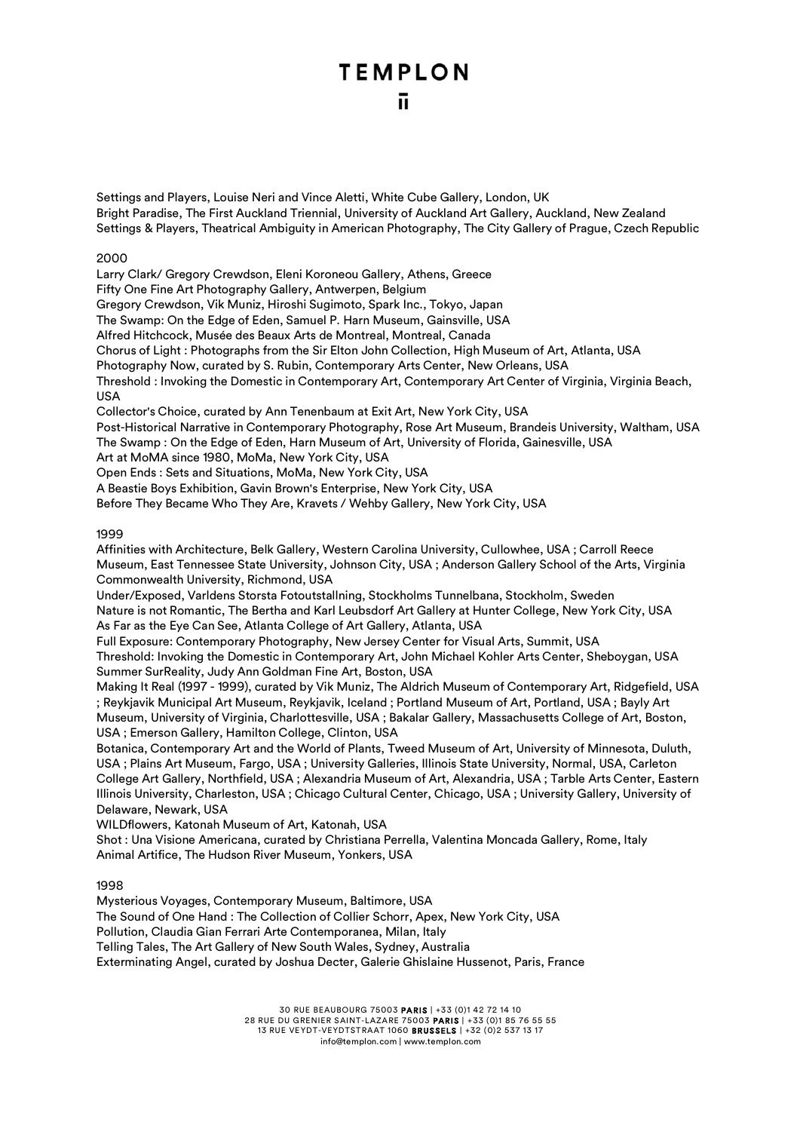Settings and Players, Louise Neri and Vince Aletti, White Cube Gallery, London, UK Bright Paradise, The First Auckland Triennial, University of Auckland Art Gallery, Auckland, New Zealand Settings & Players, Theatrical Ambiguity in American Photography, The City Gallery of Prague, Czech Republic

#### 2000

Larry Clark/ Gregory Crewdson, Eleni Koroneou Gallery, Athens, Greece

Fifty One Fine Art Photography Gallery, Antwerpen, Belgium

Gregory Crewdson, Vik Muniz, Hiroshi Sugimoto, Spark Inc., Tokyo, Japan

The Swamp: On the Edge of Eden, Samuel P. Harn Museum, Gainsville, USA

Alfred Hitchcock, Musée des Beaux Arts de Montreal, Montreal, Canada

Chorus of Light : Photographs from the Sir Elton John Collection, High Museum of Art, Atlanta, USA

Photography Now, curated by S. Rubin, Contemporary Arts Center, New Orleans, USA

Threshold : Invoking the Domestic in Contemporary Art, Contemporary Art Center of Virginia, Virginia Beach, USA

Collector's Choice, curated by Ann Tenenbaum at Exit Art, New York City, USA

Post-Historical Narrative in Contemporary Photography, Rose Art Museum, Brandeis University, Waltham, USA The Swamp : On the Edge of Eden, Harn Museum of Art, University of Florida, Gainesville, USA

Art at MoMA since 1980, MoMa, New York City, USA

Open Ends : Sets and Situations, MoMa, New York City, USA

A Beastie Boys Exhibition, Gavin Brown's Enterprise, New York City, USA

Before They Became Who They Are, Kravets / Wehby Gallery, New York City, USA

### 1999

Affinities with Architecture, Belk Gallery, Western Carolina University, Cullowhee, USA ; Carroll Reece Museum, East Tennessee State University, Johnson City, USA ; Anderson Gallery School of the Arts, Virginia Commonwealth University, Richmond, USA

Under/Exposed, Varldens Storsta Fotoutstallning, Stockholms Tunnelbana, Stockholm, Sweden Nature is not Romantic, The Bertha and Karl Leubsdorf Art Gallery at Hunter College, New York City, USA As Far as the Eye Can See, Atlanta College of Art Gallery, Atlanta, USA

Full Exposure: Contemporary Photography, New Jersey Center for Visual Arts, Summit, USA

Threshold: Invoking the Domestic in Contemporary Art, John Michael Kohler Arts Center, Sheboygan, USA Summer SurReality, Judy Ann Goldman Fine Art, Boston, USA

Making It Real (1997 - 1999), curated by Vik Muniz, The Aldrich Museum of Contemporary Art, Ridgefield, USA ; Reykjavik Municipal Art Museum, Reykjavik, Iceland ; Portland Museum of Art, Portland, USA ; Bayly Art Museum, University of Virginia, Charlottesville, USA ; Bakalar Gallery, Massachusetts College of Art, Boston, USA ; Emerson Gallery, Hamilton College, Clinton, USA

Botanica, Contemporary Art and the World of Plants, Tweed Museum of Art, University of Minnesota, Duluth, USA ; Plains Art Museum, Fargo, USA ; University Galleries, Illinois State University, Normal, USA, Carleton College Art Gallery, Northfield, USA ; Alexandria Museum of Art, Alexandria, USA ; Tarble Arts Center, Eastern Illinois University, Charleston, USA ; Chicago Cultural Center, Chicago, USA ; University Gallery, University of Delaware, Newark, USA

WILDflowers, Katonah Museum of Art, Katonah, USA

Shot : Una Visione Americana, curated by Christiana Perrella, Valentina Moncada Gallery, Rome, Italy Animal Artifice, The Hudson River Museum, Yonkers, USA

### 1998

Mysterious Voyages, Contemporary Museum, Baltimore, USA The Sound of One Hand : The Collection of Collier Schorr, Apex, New York City, USA Pollution, Claudia Gian Ferrari Arte Contemporanea, Milan, Italy Telling Tales, The Art Gallery of New South Wales, Sydney, Australia Exterminating Angel, curated by Joshua Decter, Galerie Ghislaine Hussenot, Paris, France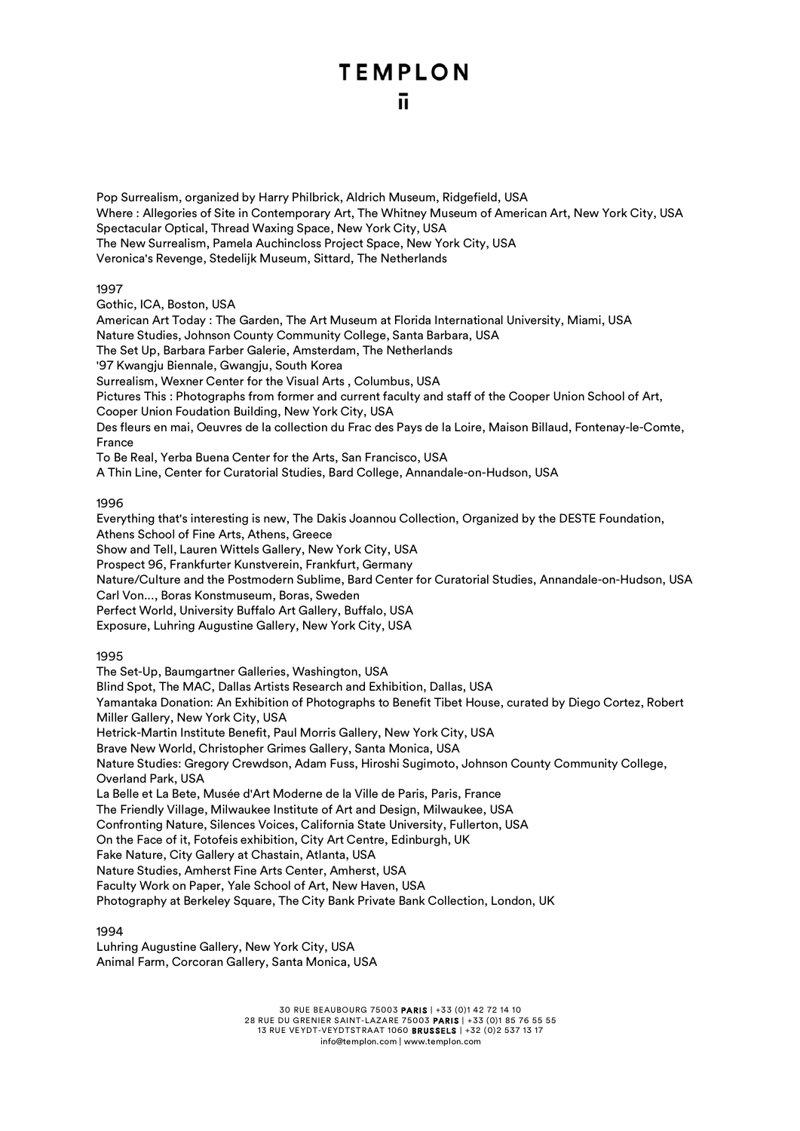Pop Surrealism, organized by Harry Philbrick, Aldrich Museum, Ridgefield, USA Where : Allegories of Site in Contemporary Art, The Whitney Museum of American Art, New York City, USA Spectacular Optical, Thread Waxing Space, New York City, USA The New Surrealism, Pamela Auchincloss Project Space, New York City, USA Veronica's Revenge, Stedelijk Museum, Sittard, The Netherlands

1997

Gothic, ICA, Boston, USA American Art Today : The Garden, The Art Museum at Florida International University, Miami, USA Nature Studies, Johnson County Community College, Santa Barbara, USA The Set Up, Barbara Farber Galerie, Amsterdam, The Netherlands '97 Kwangju Biennale, Gwangju, South Korea Surrealism, Wexner Center for the Visual Arts , Columbus, USA Pictures This : Photographs from former and current faculty and staff of the Cooper Union School of Art, Cooper Union Foudation Building, New York City, USA Des fleurs en mai, Oeuvres de la collection du Frac des Pays de la Loire, Maison Billaud, Fontenay-le-Comte, France To Be Real, Yerba Buena Center for the Arts, San Francisco, USA A Thin Line, Center for Curatorial Studies, Bard College, Annandale-on-Hudson, USA

### 1996

Everything that's interesting is new, The Dakis Joannou Collection, Organized by the DESTE Foundation, Athens School of Fine Arts, Athens, Greece

Show and Tell, Lauren Wittels Gallery, New York City, USA

Prospect 96, Frankfurter Kunstverein, Frankfurt, Germany

Nature/Culture and the Postmodern Sublime, Bard Center for Curatorial Studies, Annandale-on-Hudson, USA

Carl Von..., Boras Konstmuseum, Boras, Sweden

Perfect World, University Buffalo Art Gallery, Buffalo, USA

Exposure, Luhring Augustine Gallery, New York City, USA

1995

The Set-Up, Baumgartner Galleries, Washington, USA Blind Spot, The MAC, Dallas Artists Research and Exhibition, Dallas, USA Yamantaka Donation: An Exhibition of Photographs to Benefit Tibet House, curated by Diego Cortez, Robert Miller Gallery, New York City, USA Hetrick-Martin Institute Benefit, Paul Morris Gallery, New York City, USA Brave New World, Christopher Grimes Gallery, Santa Monica, USA Nature Studies: Gregory Crewdson, Adam Fuss, Hiroshi Sugimoto, Johnson County Community College, Overland Park, USA La Belle et La Bete, Musée d'Art Moderne de la Ville de Paris, Paris, France The Friendly Village, Milwaukee Institute of Art and Design, Milwaukee, USA Confronting Nature, Silences Voices, California State University, Fullerton, USA On the Face of it, Fotofeis exhibition, City Art Centre, Edinburgh, UK Fake Nature, City Gallery at Chastain, Atlanta, USA Nature Studies, Amherst Fine Arts Center, Amherst, USA Faculty Work on Paper, Yale School of Art, New Haven, USA Photography at Berkeley Square, The City Bank Private Bank Collection, London, UK

1994

Luhring Augustine Gallery, New York City, USA Animal Farm, Corcoran Gallery, Santa Monica, USA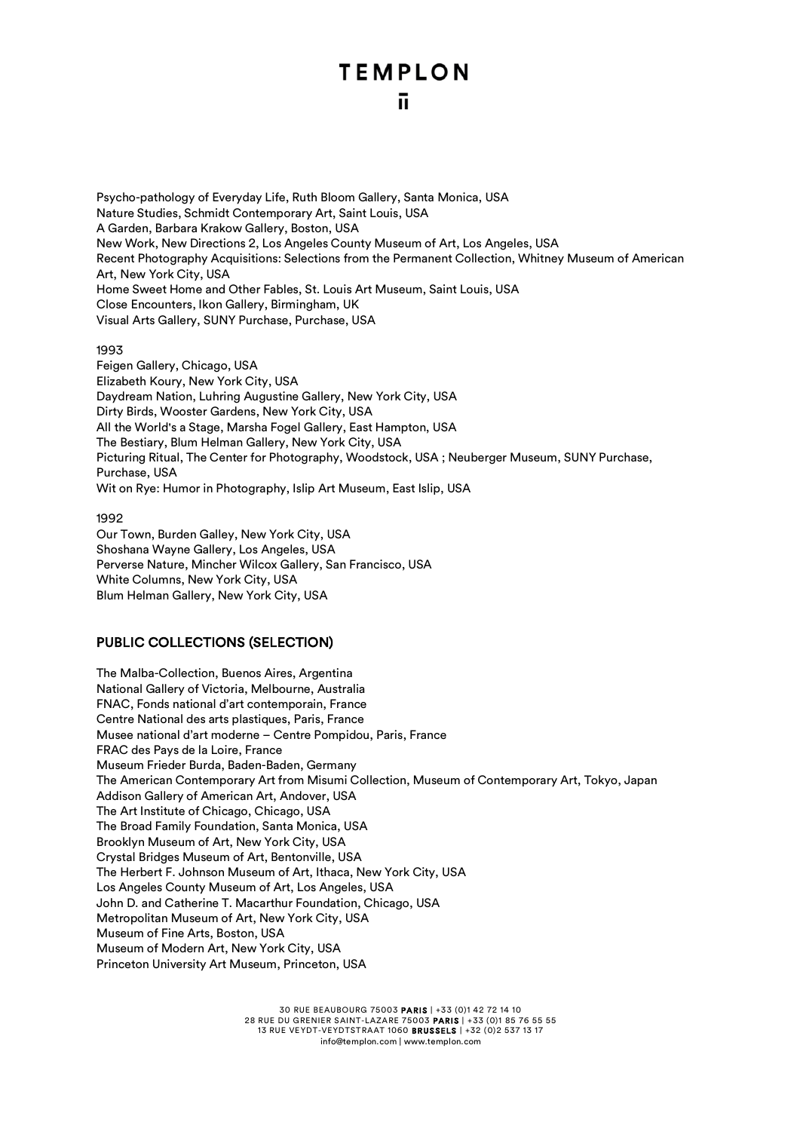### ū.

Psycho-pathology of Everyday Life, Ruth Bloom Gallery, Santa Monica, USA Nature Studies, Schmidt Contemporary Art, Saint Louis, USA A Garden, Barbara Krakow Gallery, Boston, USA New Work, New Directions 2, Los Angeles County Museum of Art, Los Angeles, USA Recent Photography Acquisitions: Selections from the Permanent Collection, Whitney Museum of American Art, New York City, USA Home Sweet Home and Other Fables, St. Louis Art Museum, Saint Louis, USA Close Encounters, Ikon Gallery, Birmingham, UK Visual Arts Gallery, SUNY Purchase, Purchase, USA

#### 1993

Feigen Gallery, Chicago, USA Elizabeth Koury, New York City, USA Daydream Nation, Luhring Augustine Gallery, New York City, USA Dirty Birds, Wooster Gardens, New York City, USA All the World's a Stage, Marsha Fogel Gallery, East Hampton, USA The Bestiary, Blum Helman Gallery, New York City, USA Picturing Ritual, The Center for Photography, Woodstock, USA ; Neuberger Museum, SUNY Purchase, Purchase, USA Wit on Rye: Humor in Photography, Islip Art Museum, East Islip, USA

#### 1992

Our Town, Burden Galley, New York City, USA Shoshana Wayne Gallery, Los Angeles, USA Perverse Nature, Mincher Wilcox Gallery, San Francisco, USA White Columns, New York City, USA Blum Helman Gallery, New York City, USA

### PUBLIC COLLECTIONS (SELECTION)

The Malba-Collection, Buenos Aires, Argentina National Gallery of Victoria, Melbourne, Australia FNAC, Fonds national d'art contemporain, France Centre National des arts plastiques, Paris, France Musee national d'art moderne – Centre Pompidou, Paris, France FRAC des Pays de la Loire, France Museum Frieder Burda, Baden-Baden, Germany The American Contemporary Art from Misumi Collection, Museum of Contemporary Art, Tokyo, Japan Addison Gallery of American Art, Andover, USA The Art Institute of Chicago, Chicago, USA The Broad Family Foundation, Santa Monica, USA Brooklyn Museum of Art, New York City, USA Crystal Bridges Museum of Art, Bentonville, USA The Herbert F. Johnson Museum of Art, Ithaca, New York City, USA Los Angeles County Museum of Art, Los Angeles, USA John D. and Catherine T. Macarthur Foundation, Chicago, USA Metropolitan Museum of Art, New York City, USA Museum of Fine Arts, Boston, USA Museum of Modern Art, New York City, USA Princeton University Art Museum, Princeton, USA